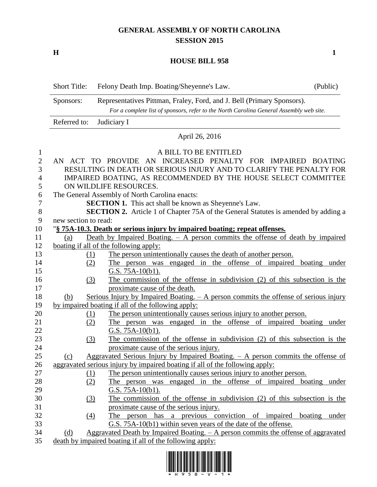## **GENERAL ASSEMBLY OF NORTH CAROLINA SESSION 2015**

**H 1**

## **HOUSE BILL 958**

|                | <b>Short Title:</b>                                                                                                                                                            | (Public)<br>Felony Death Imp. Boating/Sheyenne's Law.                                                       |  |  |  |
|----------------|--------------------------------------------------------------------------------------------------------------------------------------------------------------------------------|-------------------------------------------------------------------------------------------------------------|--|--|--|
|                | Representatives Pittman, Fraley, Ford, and J. Bell (Primary Sponsors).<br>Sponsors:<br>For a complete list of sponsors, refer to the North Carolina General Assembly web site. |                                                                                                             |  |  |  |
|                | Referred to:                                                                                                                                                                   | Judiciary I                                                                                                 |  |  |  |
|                | April 26, 2016                                                                                                                                                                 |                                                                                                             |  |  |  |
| $\mathbf{1}$   |                                                                                                                                                                                | A BILL TO BE ENTITLED                                                                                       |  |  |  |
| $\overline{2}$ | AN ACT TO PROVIDE AN INCREASED PENALTY FOR IMPAIRED BOATING                                                                                                                    |                                                                                                             |  |  |  |
| 3              | RESULTING IN DEATH OR SERIOUS INJURY AND TO CLARIFY THE PENALTY FOR                                                                                                            |                                                                                                             |  |  |  |
| 4              | IMPAIRED BOATING, AS RECOMMENDED BY THE HOUSE SELECT COMMITTEE                                                                                                                 |                                                                                                             |  |  |  |
| 5              | ON WILDLIFE RESOURCES.                                                                                                                                                         |                                                                                                             |  |  |  |
| 6              |                                                                                                                                                                                | The General Assembly of North Carolina enacts:                                                              |  |  |  |
| 7              | <b>SECTION 1.</b> This act shall be known as Sheyenne's Law.                                                                                                                   |                                                                                                             |  |  |  |
| $8\,$          | SECTION 2. Article 1 of Chapter 75A of the General Statutes is amended by adding a                                                                                             |                                                                                                             |  |  |  |
| 9              | new section to read:                                                                                                                                                           |                                                                                                             |  |  |  |
| 10             | "§ 75A-10.3. Death or serious injury by impaired boating; repeat offenses.                                                                                                     |                                                                                                             |  |  |  |
| 11             | Death by Impaired Boating. $-$ A person commits the offense of death by impaired<br>(a)                                                                                        |                                                                                                             |  |  |  |
| 12             | boating if all of the following apply:                                                                                                                                         |                                                                                                             |  |  |  |
| 13             | (1)                                                                                                                                                                            | The person unintentionally causes the death of another person.                                              |  |  |  |
| 14             | (2)                                                                                                                                                                            | The person was engaged in the offense of impaired boating under                                             |  |  |  |
| 15             |                                                                                                                                                                                | G.S. $75A-10(b1)$ .                                                                                         |  |  |  |
| 16<br>17       | (3)                                                                                                                                                                            | The commission of the offense in subdivision (2) of this subsection is the<br>proximate cause of the death. |  |  |  |
| 18             | (b)                                                                                                                                                                            | Serious Injury by Impaired Boating. $-$ A person commits the offense of serious injury                      |  |  |  |
| 19             | by impaired boating if all of the following apply:                                                                                                                             |                                                                                                             |  |  |  |
| 20             | (1)                                                                                                                                                                            | The person unintentionally causes serious injury to another person.                                         |  |  |  |
| 21             | (2)                                                                                                                                                                            | The person was engaged in the offense of impaired boating under                                             |  |  |  |
| 22             |                                                                                                                                                                                | G.S. $75A-10(b1)$ .                                                                                         |  |  |  |
| 23             | (3)                                                                                                                                                                            | The commission of the offense in subdivision (2) of this subsection is the                                  |  |  |  |
| 24             |                                                                                                                                                                                | proximate cause of the serious injury.                                                                      |  |  |  |
| 25             | (c)                                                                                                                                                                            | Aggravated Serious Injury by Impaired Boating. $-$ A person commits the offense of                          |  |  |  |
| 26             |                                                                                                                                                                                | aggravated serious injury by impaired boating if all of the following apply:                                |  |  |  |
| 27             | (1)                                                                                                                                                                            | The person unintentionally causes serious injury to another person.                                         |  |  |  |
| 28             | (2)                                                                                                                                                                            | The person was engaged in the offense of impaired boating under                                             |  |  |  |
| 29             |                                                                                                                                                                                | <u>G.S. 75A-10(b1).</u>                                                                                     |  |  |  |
| 30             | (3)                                                                                                                                                                            | The commission of the offense in subdivision (2) of this subsection is the                                  |  |  |  |
| 31             |                                                                                                                                                                                | proximate cause of the serious injury.                                                                      |  |  |  |
| 32             | (4)                                                                                                                                                                            | person has a previous conviction of impaired boating under<br>The                                           |  |  |  |
| 33             |                                                                                                                                                                                | G.S. 75A-10(b1) within seven years of the date of the offense.                                              |  |  |  |
| 34             | (d)                                                                                                                                                                            | Aggravated Death by Impaired Boating. - A person commits the offense of aggravated                          |  |  |  |



35 death by impaired boating if all of the following apply: